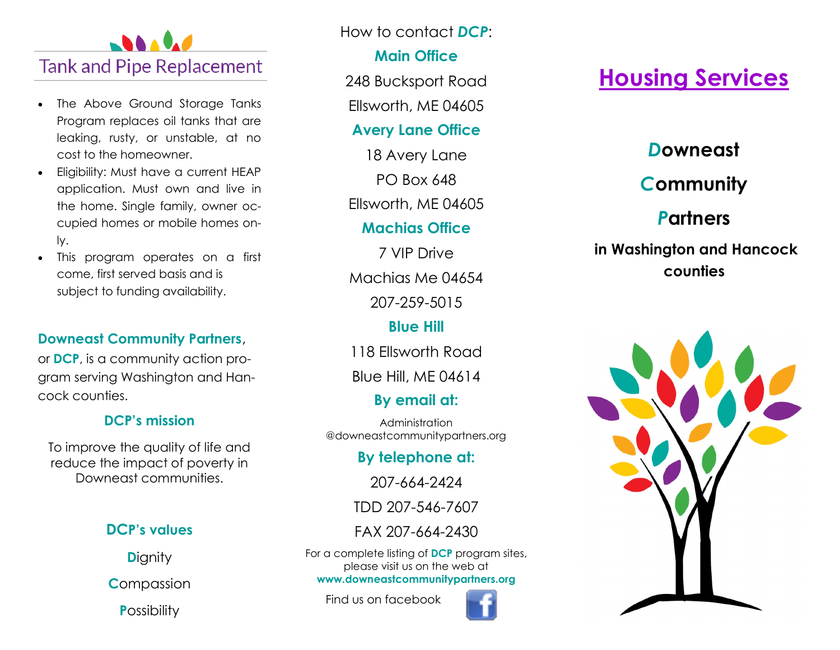

- The Above Ground Storage Tanks Program replaces oil tanks that are leaking, rusty, or unstable, at no cost to the homeowner.
- Eligibility: Must have a current HEAP application. Must own and live in the home. Single family, owner occupied homes or mobile homes only.
- This program operates on a first come, first served basis and is subject to funding availability.

#### **Downeast Community Partners**,

or **DCP**, is a community action program serving Washington and Hancock counties.

#### **DCP's mission**

To improve the quality of life and reduce the impact of poverty in Downeast communities.

### **DCP's values**

**D**ignity **C**ompassion **P**ossibility

How to contact *DCP*:

### **Main Office**

248 Bucksport Road

Ellsworth, ME 04605

### **Avery Lane Office**

18 Avery Lane PO Box 648

Ellsworth, ME 04605

## **Machias Office**

7 VIP Drive Machias Me 04654 207-259-5015

## **Blue Hill**

118 Ellsworth Road

Blue Hill, ME 04614

# **By email at:**

Administration @downeastcommunitypartners.org

# **By telephone at:**

207-664-2424

TDD 207-546-7607

FAX 207-664-2430

For a complete listing of **DCP** program sites, please visit us on the web at **www.downeastcommunitypartners.org**

Find us on facebook



# **Housing Services**

# *D***owneast**

# *C***ommunity**

# *P***artners**

# **in Washington and Hancock counties**